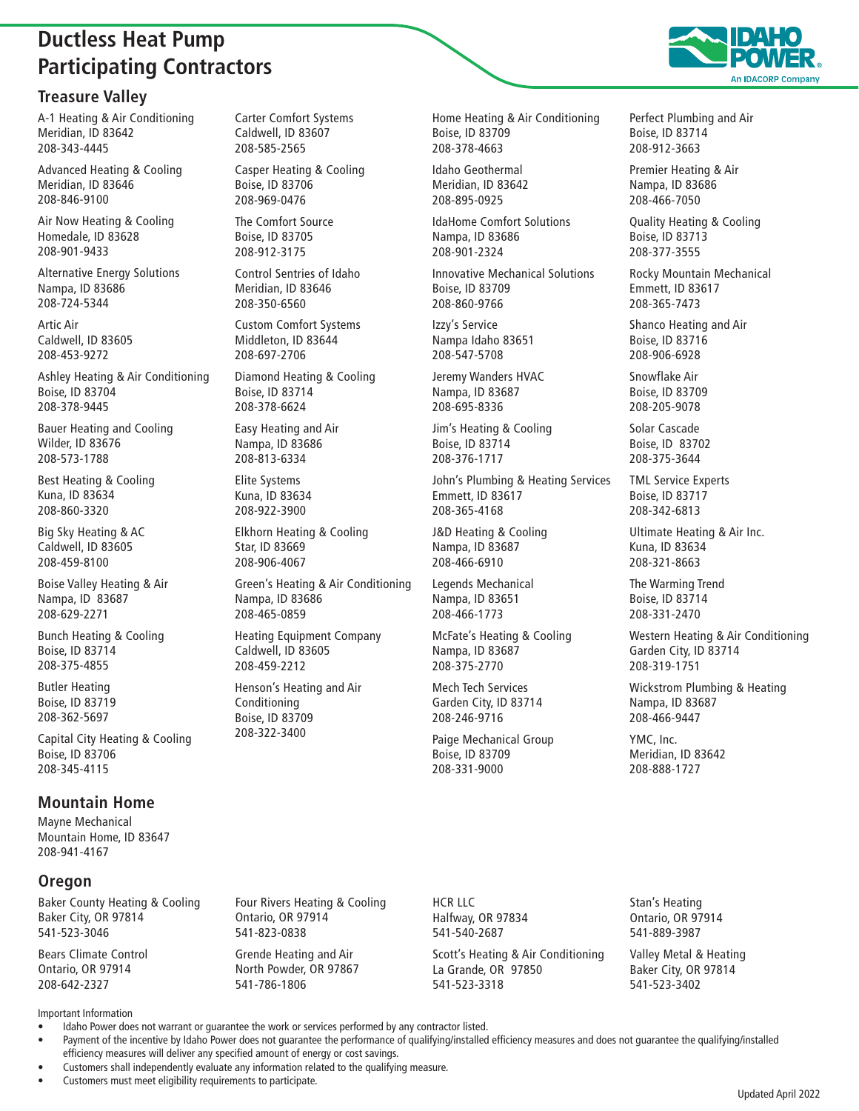# **Ductless Heat Pump Participating Contractors**

### **Treasure Valley**

A-1 Heating & Air Conditioning Meridian, ID 83642 208-343-4445

Advanced Heating & Cooling Meridian, ID 83646 208-846-9100

Air Now Heating & Cooling Homedale, ID 83628 208-901-9433

Alternative Energy Solutions Nampa, ID 83686 208-724-5344

Artic Air Caldwell, ID 83605 208-453-9272

Ashley Heating & Air Conditioning Boise, ID 83704 208-378-9445

Bauer Heating and Cooling Wilder, ID 83676 208-573-1788

Best Heating & Cooling Kuna, ID 83634 208-860-3320

Big Sky Heating & AC Caldwell, ID 83605 208-459-8100

Boise Valley Heating & Air Nampa, ID 83687 208-629-2271

Bunch Heating & Cooling Boise, ID 83714 208-375-4855

Butler Heating Boise, ID 83719 208-362-5697

Capital City Heating & Cooling Boise, ID 83706 208-345-4115

#### **Mountain Home**

Mayne Mechanical Mountain Home, ID 83647 208-941-4167

#### **Oregon**

Baker County Heating & Cooling Baker City, OR 97814 541-523-3046

Bears Climate Control Ontario, OR 97914 208-642-2327

Important Information

Idaho Power does not warrant or guarantee the work or services performed by any contractor listed.

541-786-1806

• Payment of the incentive by Idaho Power does not guarantee the performance of qualifying/installed efficiency measures and does not guarantee the qualifying/installed efficiency measures will deliver any specified amount of energy or cost savings.

• Customers shall independently evaluate any information related to the qualifying measure.

• Customers must meet eligibility requirements to participate.

Carter Comfort Systems Caldwell, ID 83607 208-585-2565

Casper Heating & Cooling Boise, ID 83706 208-969-0476

The Comfort Source Boise, ID 83705 208-912-3175

Control Sentries of Idaho Meridian, ID 83646 208-350-6560

Custom Comfort Systems Middleton, ID 83644 208-697-2706

Diamond Heating & Cooling Boise, ID 83714 208-378-6624

Easy Heating and Air Nampa, ID 83686 208-813-6334

Elite Systems Kuna, ID 83634 208-922-3900

Elkhorn Heating & Cooling Star, ID 83669 208-906-4067

Green's Heating & Air Conditioning Nampa, ID 83686 208-465-0859

Heating Equipment Company Caldwell, ID 83605 208-459-2212

Four Rivers Heating & Cooling

Ontario, OR 97914 541-823-0838

Grende Heating and Air North Powder, OR 97867

Henson's Heating and Air Conditioning Boise, ID 83709 208-322-3400

Home Heating & Air Conditioning Boise, ID 83709 208-378-4663

Idaho Geothermal Meridian, ID 83642 208-895-0925

IdaHome Comfort Solutions Nampa, ID 83686 208-901-2324

Innovative Mechanical Solutions Boise, ID 83709 208-860-9766

Izzy's Service Nampa Idaho 83651 208-547-5708

Jeremy Wanders HVAC Nampa, ID 83687 208-695-8336

Jim's Heating & Cooling Boise, ID 83714 208-376-1717

John's Plumbing & Heating Services Emmett, ID 83617 208-365-4168

J&D Heating & Cooling Nampa, ID 83687 208-466-6910

Legends Mechanical Nampa, ID 83651 208-466-1773

McFate's Heating & Cooling Nampa, ID 83687 208-375-2770

Mech Tech Services Garden City, ID 83714 208-246-9716

Paige Mechanical Group Boise, ID 83709 208-331-9000

Perfect Plumbing and Air Boise, ID 83714 208-912-3663

Premier Heating & Air Nampa, ID 83686 208-466-7050

Quality Heating & Cooling Boise, ID 83713 208-377-3555

Rocky Mountain Mechanical Emmett, ID 83617 208-365-7473

Shanco Heating and Air Boise, ID 83716 208-906-6928

Snowflake Air Boise, ID 83709 208-205-9078

Solar Cascade Boise, ID 83702 208-375-3644

TML Service Experts Boise, ID 83717 208-342-6813

Ultimate Heating & Air Inc. Kuna, ID 83634 208-321-8663

The Warming Trend Boise, ID 83714 208-331-2470

Western Heating & Air Conditioning Garden City, ID 83714 208-319-1751

Wickstrom Plumbing & Heating Nampa, ID 83687 208-466-9447

YMC, Inc. Meridian, ID 83642 208-888-1727

HCR LLC Halfway, OR 97834 541-540-2687

Scott's Heating & Air Conditioning La Grande, OR 97850 541-523-3318

Stan's Heating Ontario, OR 97914 541-889-3987

Valley Metal & Heating Baker City, OR 97814 541-523-3402